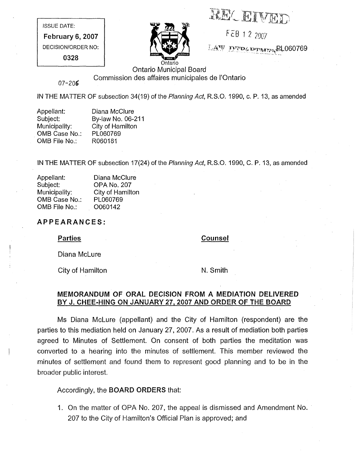**RECEIVED** 

FEB 1 2 2007

 $I.A^{\nabla}$  My  $\Omega$  is property FL060769

ISSUE DATE:

February 6, 2007 DECISION/ORDER NO:

0328



Ontario Municipal Board Commission des affaires municipales de I'Ontario

07-205

IN THE MATTER OF subsection 34(19) of the Planning Act, R.S.O. 1990, c. P. 13, as amended

| Appellant:    | Diana McClure     |
|---------------|-------------------|
| Subject:      | By-law No. 06-211 |
| Municipality: | City of Hamilton  |
| OMB Case No.: | PL060769          |
| OMB File No.: | R060181           |
|               |                   |

IN THE MATTER OF subsection 17(24) of the Planning Act, R.S.O. 1990, C. P. 13, as amended

| Appellant:    | Diana McClure      |
|---------------|--------------------|
| Subject:      | <b>OPA No. 207</b> |
| Municipality: | City of Hamilton   |
| OMB Case No.: | PL060769           |
| OMB File No.: | O060142            |

## APPEARANCES:

**Parties** 

Counsel

Diana McLure

City of Hamilton

N. Smith

# MEMORANDUM OF ORAL DECISION FROM A MEDIATION DELIVERED BY J. CHEE-HING ON JANUARY 27, 2007 AND ORDER OF THE BOARD

Ms Diana McLure (appellant) and the City of Hamilton (respondent) are the parties to this mediation held on January 27, 2007. As a result of mediation both parties agreed to Minutes of Settlement. On consent of both parties the meditation was converted to a hearing into the minutes of settlement. This member reviewed the minutes of settlement and found them to represent good planning and to be in the broader public interest.

# Accordingly, the BOARD ORDERS that:

1. On the matter of OPA No. 207, the appeal is dismissed and Amendment No. 207 to the City of Hamilton's Official Plan is approved; and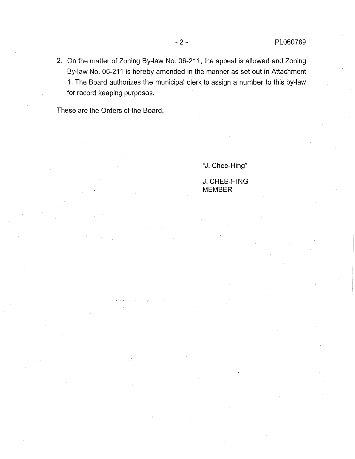° On the matter of Zoning By-law No. 06-211, the appeal is allowed and Zoning By-law No. 06-211 is hereby amended in the manner as set out in Attachment 1. The Board authorizes the municipal clerk to assign a number to this by-law for record keeping purposes.

These are the Orders of the Board.

"J. Chee-Hing"

J. CHEE-HING MEMBER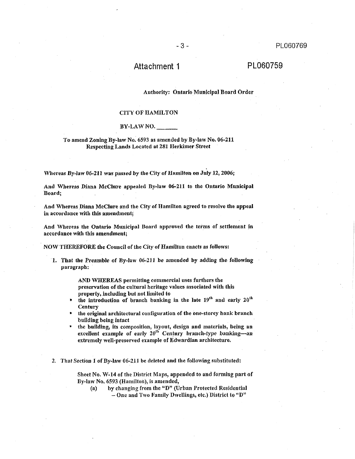# Attachment 1

## PL060759

#### Authority: Ontario Municipal Board Order

 $-3-$ 

#### **CITY OF HAMILTON**

#### BY-LAWNO.

### To amend Zoning By-law No. 6593 as amended by By-law No. 06-211 Respecting Lands Located at 281 Herkimer Street

Whereas By-law 06-211 was passed by the City of Hamilton on July 12, 2006;

And Whereas Diana McClure appealed By-law 06-211 to the Ontario Municipal Board;

And Whereas Diana McClure and the City of Hamilton agreed to resolve the appeal in accordance with this amendment;

And Whereas the Ontario Municipal Board approved the terms of settlement in accordance with this amendment;

NOW THEREFORE the Council of the City of Hamilton enacts as follows:

1. That the Preamble of By-law 06-211 be amended by adding the following paragraph:

> AND WHEREAS permitting commercial uses furthers the preservation of the cultural heritage values associated with this property, including but not limited to

- the introduction of branch banking in the late 19<sup>th</sup> and early 20<sup>th</sup> Century
- the original architectural configuration of the one-storey bank branch building being intact
- the building, its composition, layout, design and materials, being an excellent example of early 20<sup>th</sup> Century branch-type banking-an extremely well-preserved example of Edwardian architecture.

2. That Section 1 of By-law 06-211 be deleted and the following substituted:

Sheet No. W-14 of the District Maps, appended to and forming part of By-law No. 6593 (Hamilton), is amended,

by changing from the "D" (Urban Protected Residential  $(a)$  $-$  One and Two Family Dwellings, etc.) District to "D"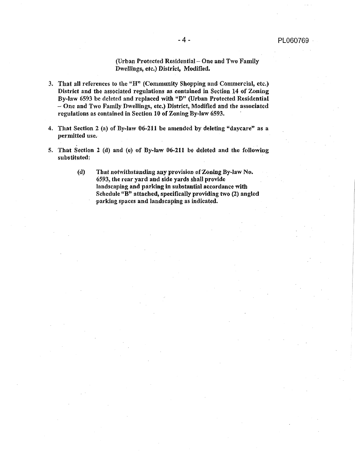## (Urban Protected Residential - One and Two Family Dwellings, etc.) District, Modified.

- 3. That all references to the " $H<sup>n</sup>$  (Community Shopping and Commercial, etc.) District and the associated regulations as contained in Section 14 of Zoning By-law 6593 be deleted and replaced with "D" (Urban Protected Residential - One and Two Family Dwellings, etc.) District, Modified and the associated regulations as contained in Section 10 of Zoning By-law 6593.
- 4. That Section 2 (a) of By-law 06-211 be amended by deleting "daycare" as a permitted use.
- 5. That Section 2 (d) and (c) of By-law 06-211 be deleted and the following substituted:
	- $(d)$ That notwithstanding any provision of Zoning By-law No. 6593, the rear yard and side yards shall provide landscaping and parking in substantial accordance with Schedule "B" attached, specifically providing two (2) angled parking spaces and landscaping as indicated.